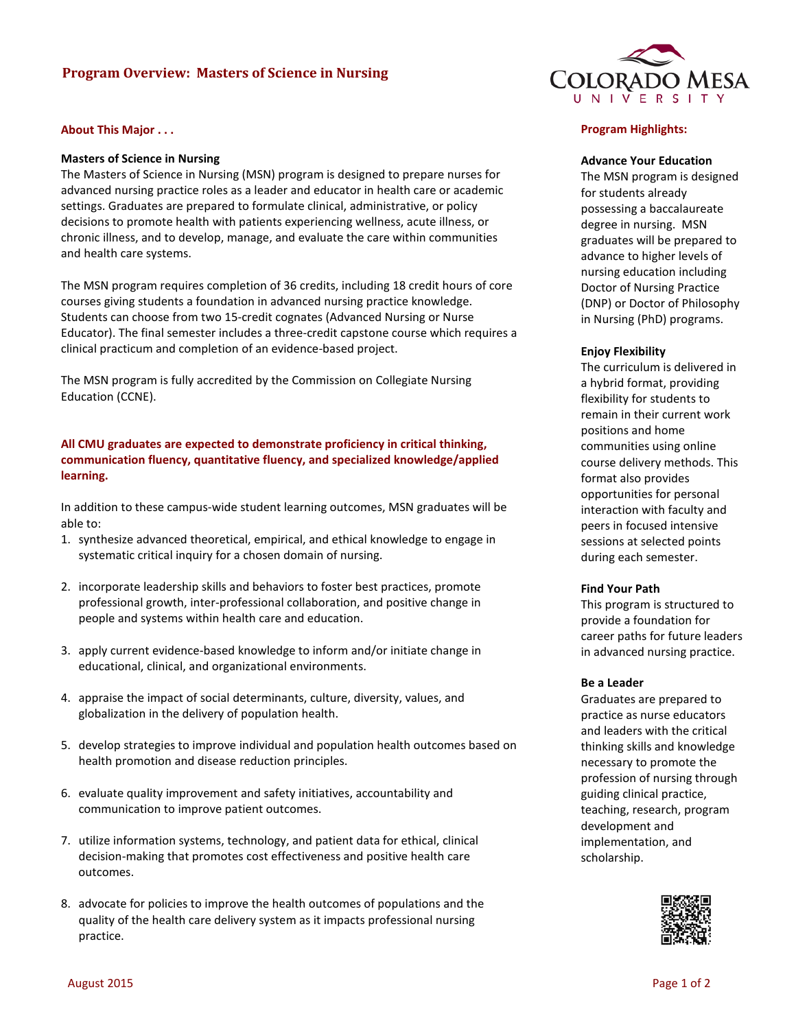# **Program Overview: Masters of Science in Nursing**

### **About This Major . . .**

### **Masters of Science in Nursing**

The Masters of Science in Nursing (MSN) program is designed to prepare nurses for advanced nursing practice roles as a leader and educator in health care or academic settings. Graduates are prepared to formulate clinical, administrative, or policy decisions to promote health with patients experiencing wellness, acute illness, or chronic illness, and to develop, manage, and evaluate the care within communities and health care systems.

The MSN program requires completion of 36 credits, including 18 credit hours of core courses giving students a foundation in advanced nursing practice knowledge. Students can choose from two 15-credit cognates (Advanced Nursing or Nurse Educator). The final semester includes a three-credit capstone course which requires a clinical practicum and completion of an evidence-based project.

The MSN program is fully accredited by the Commission on Collegiate Nursing Education (CCNE).

## **All CMU graduates are expected to demonstrate proficiency in critical thinking, communication fluency, quantitative fluency, and specialized knowledge/applied learning.**

In addition to these campus-wide student learning outcomes, MSN graduates will be able to:

- 1. synthesize advanced theoretical, empirical, and ethical knowledge to engage in systematic critical inquiry for a chosen domain of nursing.
- 2. incorporate leadership skills and behaviors to foster best practices, promote professional growth, inter-professional collaboration, and positive change in people and systems within health care and education.
- 3. apply current evidence-based knowledge to inform and/or initiate change in educational, clinical, and organizational environments.
- 4. appraise the impact of social determinants, culture, diversity, values, and globalization in the delivery of population health.
- 5. develop strategies to improve individual and population health outcomes based on health promotion and disease reduction principles.
- 6. evaluate quality improvement and safety initiatives, accountability and communication to improve patient outcomes.
- 7. utilize information systems, technology, and patient data for ethical, clinical decision-making that promotes cost effectiveness and positive health care outcomes.
- 8. advocate for policies to improve the health outcomes of populations and the quality of the health care delivery system as it impacts professional nursing practice.



#### **Program Highlights:**

#### **Advance Your Education**

The MSN program is designed for students already possessing a baccalaureate degree in nursing. MSN graduates will be prepared to advance to higher levels of nursing education including Doctor of Nursing Practice (DNP) or Doctor of Philosophy in Nursing (PhD) programs.

#### **Enjoy Flexibility**

The curriculum is delivered in a hybrid format, providing flexibility for students to remain in their current work positions and home communities using online course delivery methods. This format also provides opportunities for personal interaction with faculty and peers in focused intensive sessions at selected points during each semester.

#### **Find Your Path**

This program is structured to provide a foundation for career paths for future leaders in advanced nursing practice.

#### **Be a Leader**

Graduates are prepared to practice as nurse educators and leaders with the critical thinking skills and knowledge necessary to promote the profession of nursing through guiding clinical practice, teaching, research, program development and implementation, and scholarship.